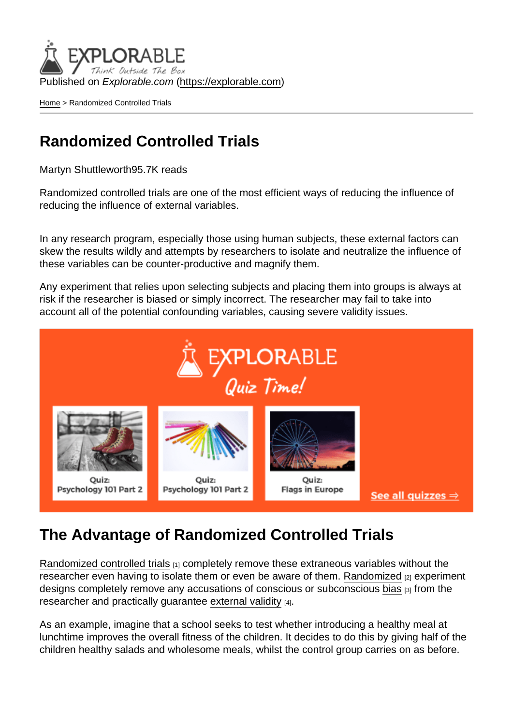Published on Explorable.com (<https://explorable.com>)

[Home](https://explorable.com/) > Randomized Controlled Trials

## Randomized Controlled Trials

Martyn Shuttleworth95.7K reads

Randomized controlled trials are one of the most efficient ways of reducing the influence of reducing the influence of external variables.

In any research program, especially those using human subjects, these external factors can skew the results wildly and attempts by researchers to isolate and neutralize the influence of these variables can be counter-productive and magnify them.

Any experiment that relies upon selecting subjects and placing them into groups is always at risk if the researcher is biased or simply incorrect. The researcher may fail to take into account all of the potential confounding variables, causing severe validity issues.

## The Advantage of Randomized Controlled Trials

[Randomized controlled trials](http://en.wikipedia.org/wiki/Randomized_controlled_trial) [1] completely remove these extraneous variables without the researcher even having to isolate them or even be aware of them. [Randomized](https://explorable.com/randomization) [2] experiment designs completely remove any accusations of conscious or subconscious [bias](https://explorable.com/research-bias) [3] from the researcher and practically guarantee [external validity](https://explorable.com/external-validity) [4].

As an example, imagine that a school seeks to test whether introducing a healthy meal at lunchtime improves the overall fitness of the children. It decides to do this by giving half of the children healthy salads and wholesome meals, whilst the control group carries on as before.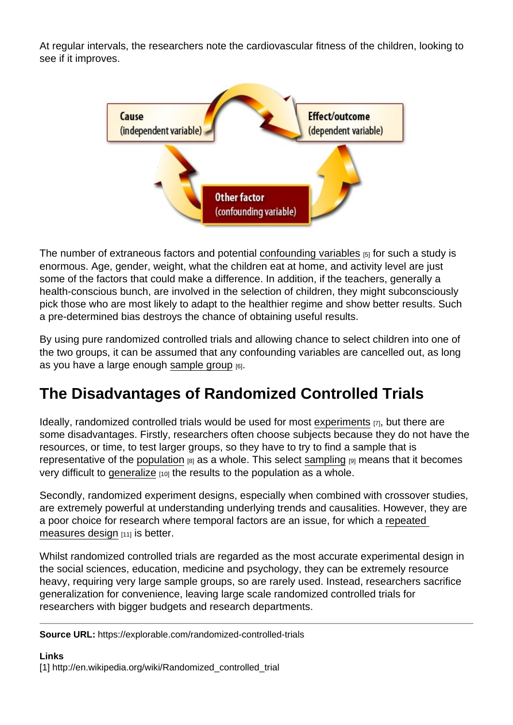At regular intervals, the researchers note the cardiovascular fitness of the children, looking to see if it improves.

The number of extraneous factors and potential [confounding variables](https://explorable.com/confounding-variables) [5] for such a study is enormous. Age, gender, weight, what the children eat at home, and activity level are just some of the factors that could make a difference. In addition, if the teachers, generally a health-conscious bunch, are involved in the selection of children, they might subconsciously pick those who are most likely to adapt to the healthier regime and show better results. Such a pre-determined bias destroys the chance of obtaining useful results.

By using pure randomized controlled trials and allowing chance to select children into one of the two groups, it can be assumed that any confounding variables are cancelled out, as long as you have a large enough [sample group](https://explorable.com/sample-group)  $[6]$ .

## The Disadvantages of Randomized Controlled Trials

Ideally, randomized controlled trials would be used for most [experiments](https://explorable.com/conducting-an-experiment) [7], but there are some disadvantages. Firstly, researchers often choose subjects because they do not have the resources, or time, to test larger groups, so they have to try to find a sample that is representative of the [population](https://explorable.com/research-population)  $[8]$  as a whole. This select [sampling](https://explorable.com/what-is-sampling)  $[9]$  means that it becomes very difficult to [generalize](https://explorable.com/what-is-generalization)  $[10]$  the results to the population as a whole.

Secondly, randomized experiment designs, especially when combined with crossover studies, are extremely powerful at understanding underlying trends and causalities. However, they are a poor choice for research where temporal factors are an issue, for which a [repeated](https://explorable.com/repeated-measures-design)  [measures design](https://explorable.com/repeated-measures-design)  $[11]$  is better.

Whilst randomized controlled trials are regarded as the most accurate experimental design in the social sciences, education, medicine and psychology, they can be extremely resource heavy, requiring very large sample groups, so are rarely used. Instead, researchers sacrifice generalization for convenience, leaving large scale randomized controlled trials for researchers with bigger budgets and research departments.

Source URL: https://explorable.com/randomized-controlled-trials